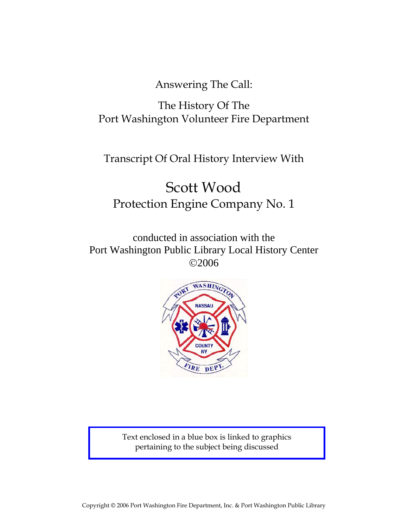Answering The Call:

# The History Of The Port Washington Volunteer Fire Department

Transcript Of Oral History Interview With

# Scott Wood Protection Engine Company No. 1

conducted in association with the Port Washington Public Library Local History Center ©2006



Text enclosed in a blue box is linked to graphics pertaining to the subject being discussed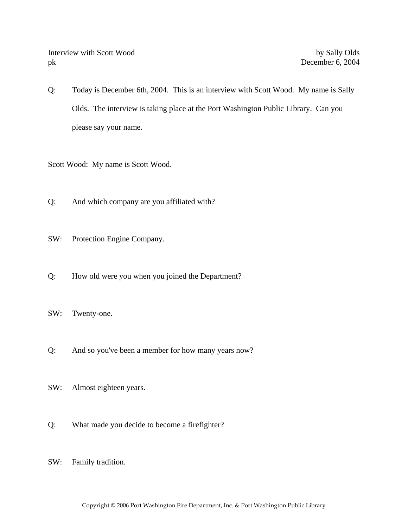Q: Today is December 6th, 2004. This is an interview with Scott Wood. My name is Sally Olds. The interview is taking place at the Port Washington Public Library. Can you please say your name.

Scott Wood: My name is Scott Wood.

- Q: And which company are you affiliated with?
- SW: Protection Engine Company.
- Q: How old were you when you joined the Department?
- SW: Twenty-one.
- Q: And so you've been a member for how many years now?
- SW: Almost eighteen years.
- Q: What made you decide to become a firefighter?
- SW: Family tradition.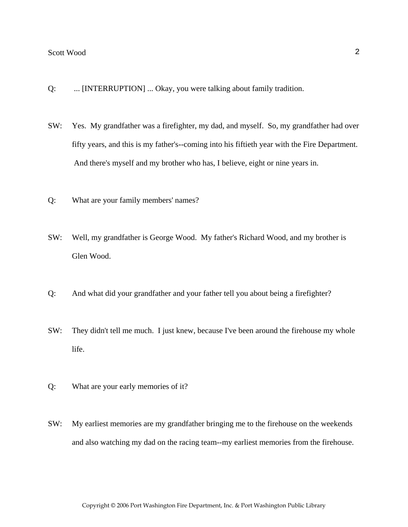- Q: ... [INTERRUPTION] ... Okay, you were talking about family tradition.
- SW: Yes. My grandfather was a firefighter, my dad, and myself. So, my grandfather had over fifty years, and this is my father's--coming into his fiftieth year with the Fire Department. And there's myself and my brother who has, I believe, eight or nine years in.
- Q: What are your family members' names?
- SW: Well, my grandfather is George Wood. My father's Richard Wood, and my brother is Glen Wood.
- Q: And what did your grandfather and your father tell you about being a firefighter?
- SW: They didn't tell me much. I just knew, because I've been around the firehouse my whole life.
- Q: What are your early memories of it?
- SW: My earliest memories are my grandfather bringing me to the firehouse on the weekends and also watching my dad on the racing team--my earliest memories from the firehouse.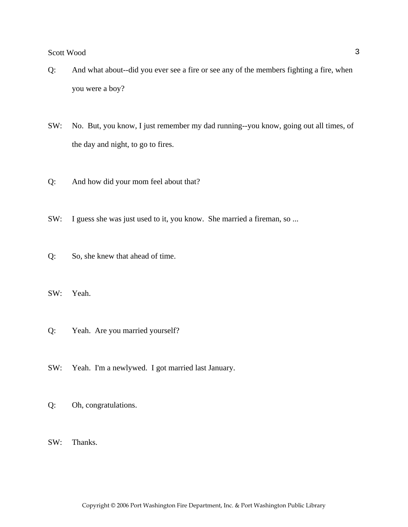- Q: And what about--did you ever see a fire or see any of the members fighting a fire, when you were a boy?
- SW: No. But, you know, I just remember my dad running--you know, going out all times, of the day and night, to go to fires.
- Q: And how did your mom feel about that?
- SW: I guess she was just used to it, you know. She married a fireman, so ...
- Q: So, she knew that ahead of time.

SW: Yeah.

- Q: Yeah. Are you married yourself?
- SW: Yeah. I'm a newlywed. I got married last January.
- Q: Oh, congratulations.
- SW: Thanks.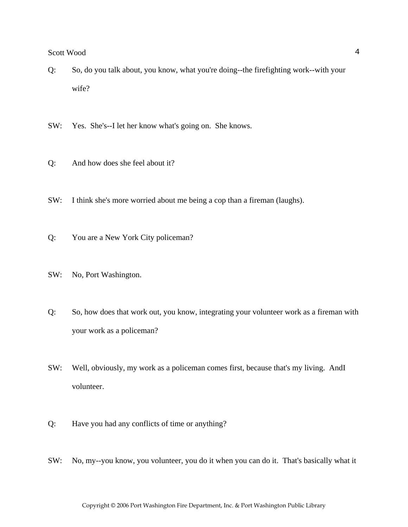- Q: So, do you talk about, you know, what you're doing--the firefighting work--with your wife?
- SW: Yes. She's--I let her know what's going on. She knows.
- Q: And how does she feel about it?
- SW: I think she's more worried about me being a cop than a fireman (laughs).
- Q: You are a New York City policeman?
- SW: No, Port Washington.
- Q: So, how does that work out, you know, integrating your volunteer work as a fireman with your work as a policeman?
- SW: Well, obviously, my work as a policeman comes first, because that's my living. AndI volunteer.
- Q: Have you had any conflicts of time or anything?
- SW: No, my--you know, you volunteer, you do it when you can do it. That's basically what it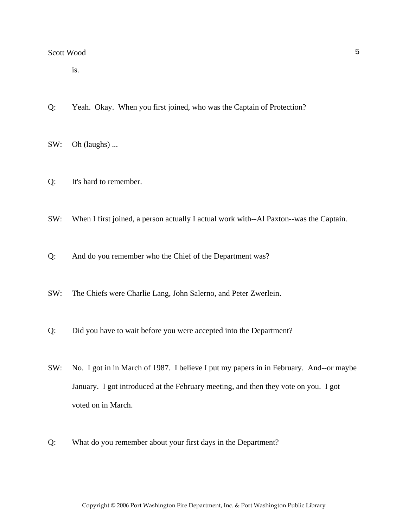is.

- Q: Yeah. Okay. When you first joined, who was the Captain of Protection?
- SW: Oh (laughs) ...
- Q: It's hard to remember.
- SW: When I first joined, a person actually I actual work with--Al Paxton--was the Captain.
- Q: And do you remember who the Chief of the Department was?
- SW: The Chiefs were Charlie Lang, John Salerno, and Peter Zwerlein.
- Q: Did you have to wait before you were accepted into the Department?
- SW: No. I got in in March of 1987. I believe I put my papers in in February. And--or maybe January. I got introduced at the February meeting, and then they vote on you. I got voted on in March.
- Q: What do you remember about your first days in the Department?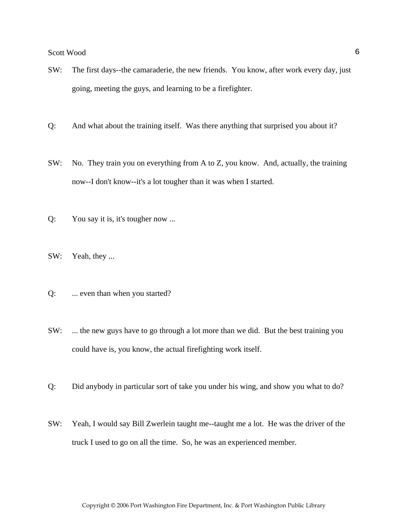- SW: The first days--the camaraderie, the new friends. You know, after work every day, just going, meeting the guys, and learning to be a firefighter.
- Q: And what about the training itself. Was there anything that surprised you about it?
- SW: No. They train you on everything from A to Z, you know. And, actually, the training now--I don't know--it's a lot tougher than it was when I started.
- Q: You say it is, it's tougher now ...
- SW: Yeah, they ...
- Q: ... even than when you started?
- SW: ... the new guys have to go through a lot more than we did. But the best training you could have is, you know, the actual firefighting work itself.
- Q: Did anybody in particular sort of take you under his wing, and show you what to do?
- SW: Yeah, I would say Bill Zwerlein taught me--taught me a lot. He was the driver of the truck I used to go on all the time. So, he was an experienced member.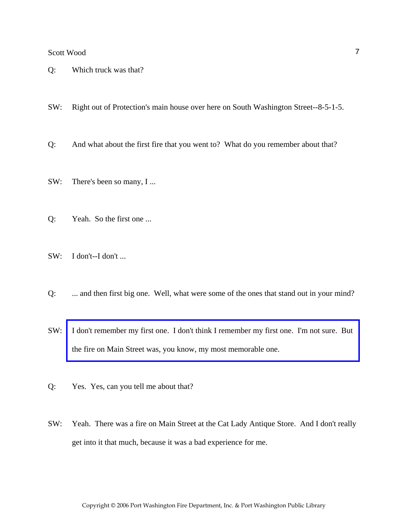- Q: Which truck was that?
- SW: Right out of Protection's main house over here on South Washington Street--8-5-1-5.
- Q: And what about the first fire that you went to? What do you remember about that?
- SW: There's been so many, I ...
- Q: Yeah. So the first one ...
- SW: I don't--I don't ...
- Q: ... and then first big one. Well, what were some of the ones that stand out in your mind?
- SW: [I don't remember my first one. I don't think I remember my first one. I'm not sure. But](http://www.pwfdhistory.com/trans/woods_trans/pnews881201_pz.pdf)  the fire on Main Street was, you know, my most memorable one.
- Q: Yes. Yes, can you tell me about that?
- SW: Yeah. There was a fire on Main Street at the Cat Lady Antique Store. And I don't really get into it that much, because it was a bad experience for me.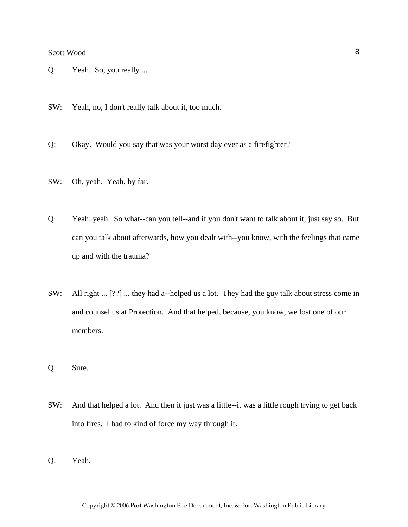- Q: Yeah. So, you really ...
- SW: Yeah, no, I don't really talk about it, too much.
- Q: Okay. Would you say that was your worst day ever as a firefighter?
- SW: Oh, yeah. Yeah, by far.
- Q: Yeah, yeah. So what--can you tell--and if you don't want to talk about it, just say so. But can you talk about afterwards, how you dealt with--you know, with the feelings that came up and with the trauma?
- SW: All right ... [??] ... they had a--helped us a lot. They had the guy talk about stress come in and counsel us at Protection. And that helped, because, you know, we lost one of our members.
- Q: Sure.
- SW: And that helped a lot. And then it just was a little--it was a little rough trying to get back into fires. I had to kind of force my way through it.
- Q: Yeah.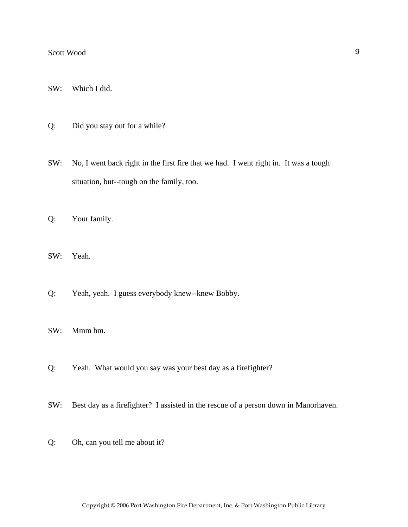- SW: Which I did.
- Q: Did you stay out for a while?
- SW: No, I went back right in the first fire that we had. I went right in. It was a tough situation, but--tough on the family, too.
- Q: Your family.
- SW: Yeah.
- Q: Yeah, yeah. I guess everybody knew--knew Bobby.
- SW: Mmm hm.
- Q: Yeah. What would you say was your best day as a firefighter?
- SW: Best day as a firefighter? I assisted in the rescue of a person down in Manorhaven.
- Q: Oh, can you tell me about it?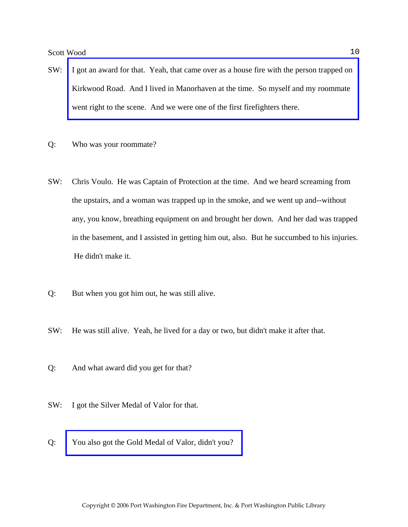Scott Wood and the second second second second second second second second second second second second second second second second second second second second second second second second second second second second second

- SW: [I got an award for that. Yeah, that came over as a house fire with the person trapped on](http://www.pwfdhistory.com/trans/woods_trans/pwfd_news065.pdf)  Kirkwood Road. And I lived in Manorhaven at the time. So myself and my roommate went right to the scene. And we were one of the first firefighters there.
- Q: Who was your roommate?
- SW: Chris Voulo. He was Captain of Protection at the time. And we heard screaming from the upstairs, and a woman was trapped up in the smoke, and we went up and--without any, you know, breathing equipment on and brought her down. And her dad was trapped in the basement, and I assisted in getting him out, also. But he succumbed to his injuries. He didn't make it.
- Q: But when you got him out, he was still alive.
- SW: He was still alive. Yeah, he lived for a day or two, but didn't make it after that.
- Q: And what award did you get for that?
- SW: I got the Silver Medal of Valor for that.
- Q: [You also got the Gold Medal of Valor, didn't you?](http://www.pwfdhistory.com/trans/woods_trans/pnews890427_pz.pdf)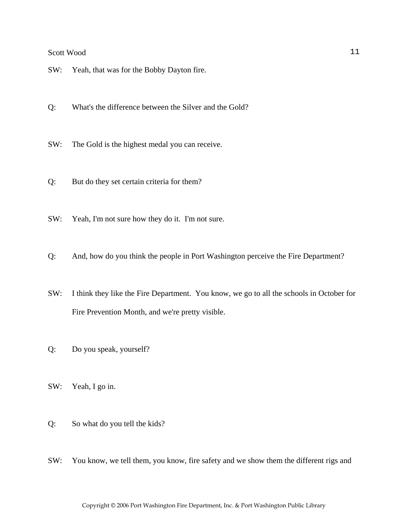- SW: Yeah, that was for the Bobby Dayton fire.
- Q: What's the difference between the Silver and the Gold?
- SW: The Gold is the highest medal you can receive.
- Q: But do they set certain criteria for them?
- SW: Yeah, I'm not sure how they do it. I'm not sure.
- Q: And, how do you think the people in Port Washington perceive the Fire Department?
- SW: I think they like the Fire Department. You know, we go to all the schools in October for Fire Prevention Month, and we're pretty visible.
- Q: Do you speak, yourself?
- SW: Yeah, I go in.
- Q: So what do you tell the kids?
- SW: You know, we tell them, you know, fire safety and we show them the different rigs and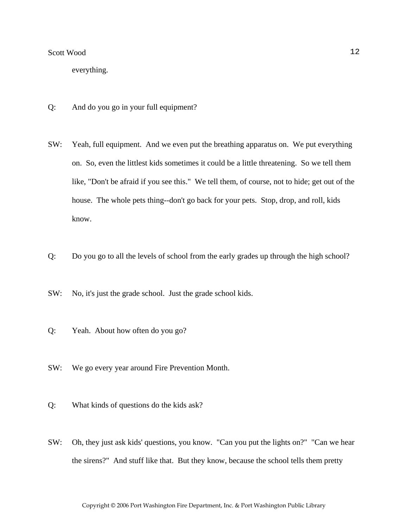everything.

- Q: And do you go in your full equipment?
- SW: Yeah, full equipment. And we even put the breathing apparatus on. We put everything on. So, even the littlest kids sometimes it could be a little threatening. So we tell them like, "Don't be afraid if you see this." We tell them, of course, not to hide; get out of the house. The whole pets thing--don't go back for your pets. Stop, drop, and roll, kids know.
- Q: Do you go to all the levels of school from the early grades up through the high school?
- SW: No, it's just the grade school. Just the grade school kids.
- Q: Yeah. About how often do you go?
- SW: We go every year around Fire Prevention Month.
- Q: What kinds of questions do the kids ask?
- SW: Oh, they just ask kids' questions, you know. "Can you put the lights on?" "Can we hear the sirens?" And stuff like that. But they know, because the school tells them pretty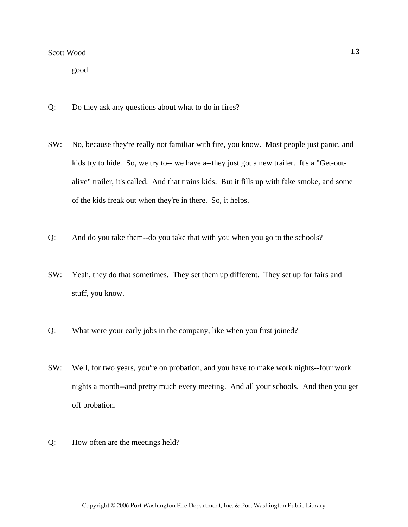good.

- Q: Do they ask any questions about what to do in fires?
- SW: No, because they're really not familiar with fire, you know. Most people just panic, and kids try to hide. So, we try to-- we have a--they just got a new trailer. It's a "Get-outalive" trailer, it's called. And that trains kids. But it fills up with fake smoke, and some of the kids freak out when they're in there. So, it helps.
- Q: And do you take them--do you take that with you when you go to the schools?
- SW: Yeah, they do that sometimes. They set them up different. They set up for fairs and stuff, you know.
- Q: What were your early jobs in the company, like when you first joined?
- SW: Well, for two years, you're on probation, and you have to make work nights--four work nights a month--and pretty much every meeting. And all your schools. And then you get off probation.
- Q: How often are the meetings held?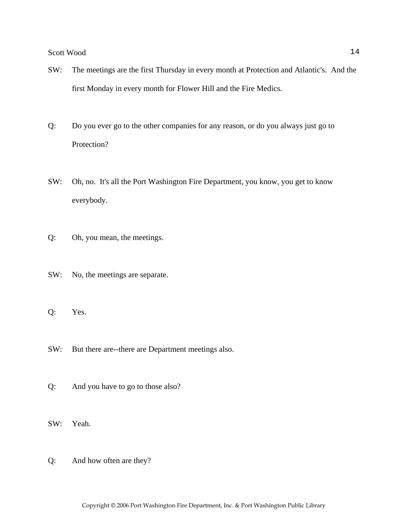- SW: The meetings are the first Thursday in every month at Protection and Atlantic's. And the first Monday in every month for Flower Hill and the Fire Medics.
- Q: Do you ever go to the other companies for any reason, or do you always just go to Protection?
- SW: Oh, no. It's all the Port Washington Fire Department, you know, you get to know everybody.
- Q: Oh, you mean, the meetings.
- SW: No, the meetings are separate.
- Q: Yes.
- SW: But there are--there are Department meetings also.
- Q: And you have to go to those also?
- SW: Yeah.
- Q: And how often are they?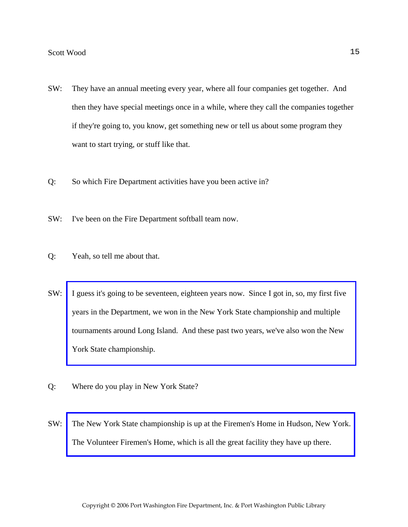- SW: They have an annual meeting every year, where all four companies get together. And then they have special meetings once in a while, where they call the companies together if they're going to, you know, get something new or tell us about some program they want to start trying, or stuff like that.
- Q: So which Fire Department activities have you been active in?
- SW: I've been on the Fire Department softball team now.
- Q: Yeah, so tell me about that.
- SW: [I guess it's going to be seventeen, eighteen years now. Since I got in, so, my first five](http://www.pwfdhistory.com/trans/woods_trans/pnewsnyschamps1987_pz.pdf)  years in the Department, we won in the New York State championship and multiple tournaments around Long Island. And these past two years, we've also won the New York State championship.
- Q: Where do you play in New York State?
- SW: [The New York State championship is up at the Firemen's Home in Hudson, New York.](http://www.firemenshome.com)  The Volunteer Firemen's Home, which is all the great facility they have up there.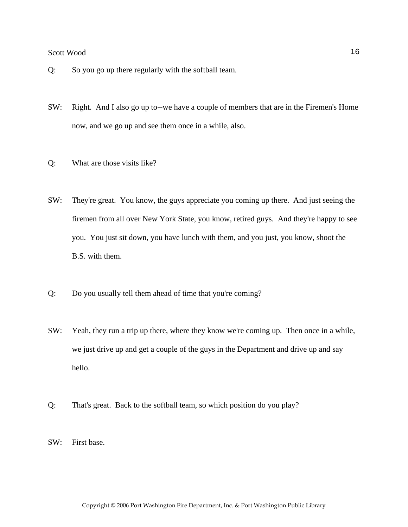- Q: So you go up there regularly with the softball team.
- SW: Right. And I also go up to--we have a couple of members that are in the Firemen's Home now, and we go up and see them once in a while, also.
- Q: What are those visits like?
- SW: They're great. You know, the guys appreciate you coming up there. And just seeing the firemen from all over New York State, you know, retired guys. And they're happy to see you. You just sit down, you have lunch with them, and you just, you know, shoot the B.S. with them.
- Q: Do you usually tell them ahead of time that you're coming?
- SW: Yeah, they run a trip up there, where they know we're coming up. Then once in a while, we just drive up and get a couple of the guys in the Department and drive up and say hello.
- Q: That's great. Back to the softball team, so which position do you play?
- SW: First base.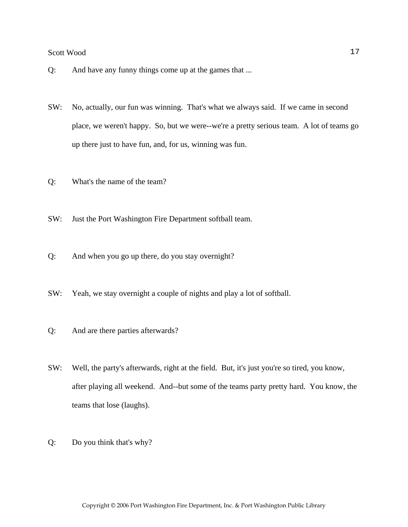- Q: And have any funny things come up at the games that ...
- SW: No, actually, our fun was winning. That's what we always said. If we came in second place, we weren't happy. So, but we were--we're a pretty serious team. A lot of teams go up there just to have fun, and, for us, winning was fun.
- Q: What's the name of the team?
- SW: Just the Port Washington Fire Department softball team.
- Q: And when you go up there, do you stay overnight?
- SW: Yeah, we stay overnight a couple of nights and play a lot of softball.
- Q: And are there parties afterwards?
- SW: Well, the party's afterwards, right at the field. But, it's just you're so tired, you know, after playing all weekend. And--but some of the teams party pretty hard. You know, the teams that lose (laughs).
- Q: Do you think that's why?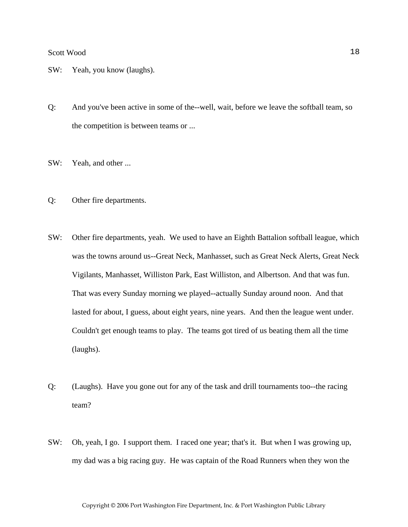- SW: Yeah, you know (laughs).
- Q: And you've been active in some of the--well, wait, before we leave the softball team, so the competition is between teams or ...
- SW: Yeah, and other ...
- Q: Other fire departments.
- SW: Other fire departments, yeah. We used to have an Eighth Battalion softball league, which was the towns around us--Great Neck, Manhasset, such as Great Neck Alerts, Great Neck Vigilants, Manhasset, Williston Park, East Williston, and Albertson. And that was fun. That was every Sunday morning we played--actually Sunday around noon. And that lasted for about, I guess, about eight years, nine years. And then the league went under. Couldn't get enough teams to play. The teams got tired of us beating them all the time (laughs).
- Q: (Laughs). Have you gone out for any of the task and drill tournaments too--the racing team?
- SW: Oh, yeah, I go. I support them. I raced one year; that's it. But when I was growing up, my dad was a big racing guy. He was captain of the Road Runners when they won the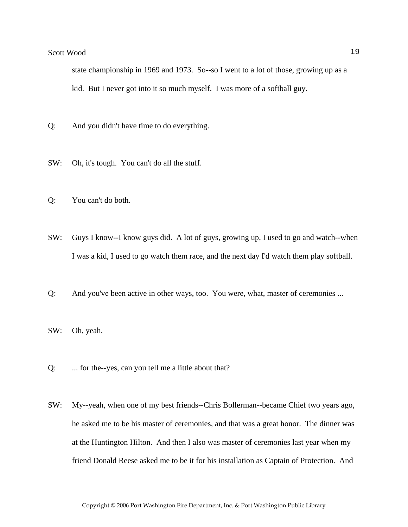state championship in 1969 and 1973. So--so I went to a lot of those, growing up as a kid. But I never got into it so much myself. I was more of a softball guy.

- Q: And you didn't have time to do everything.
- SW: Oh, it's tough. You can't do all the stuff.
- Q: You can't do both.
- SW: Guys I know--I know guys did. A lot of guys, growing up, I used to go and watch--when I was a kid, I used to go watch them race, and the next day I'd watch them play softball.
- Q: And you've been active in other ways, too. You were, what, master of ceremonies ...
- SW: Oh, yeah.
- Q: ... for the--yes, can you tell me a little about that?
- SW: My--yeah, when one of my best friends--Chris Bollerman--became Chief two years ago, he asked me to be his master of ceremonies, and that was a great honor. The dinner was at the Huntington Hilton. And then I also was master of ceremonies last year when my friend Donald Reese asked me to be it for his installation as Captain of Protection. And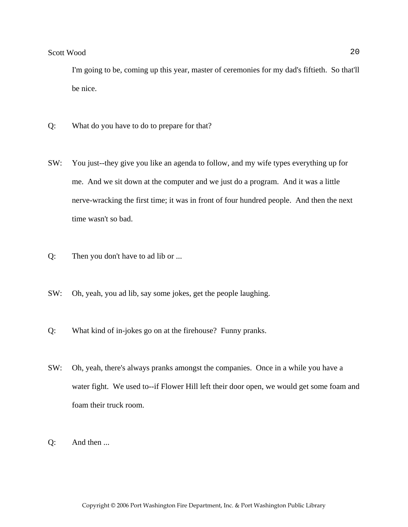I'm going to be, coming up this year, master of ceremonies for my dad's fiftieth. So that'll be nice.

- Q: What do you have to do to prepare for that?
- SW: You just--they give you like an agenda to follow, and my wife types everything up for me. And we sit down at the computer and we just do a program. And it was a little nerve-wracking the first time; it was in front of four hundred people. And then the next time wasn't so bad.
- Q: Then you don't have to ad lib or ...
- SW: Oh, yeah, you ad lib, say some jokes, get the people laughing.
- Q: What kind of in-jokes go on at the firehouse? Funny pranks.
- SW: Oh, yeah, there's always pranks amongst the companies. Once in a while you have a water fight. We used to--if Flower Hill left their door open, we would get some foam and foam their truck room.
- Q: And then ...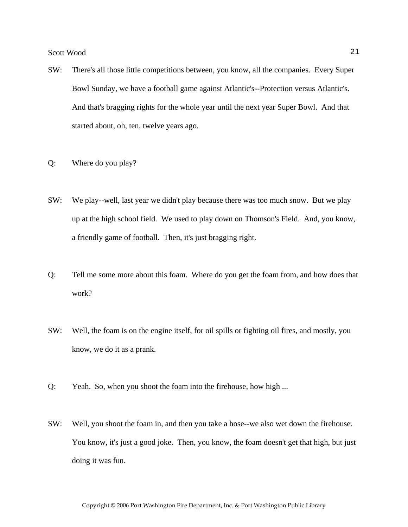- SW: There's all those little competitions between, you know, all the companies. Every Super Bowl Sunday, we have a football game against Atlantic's--Protection versus Atlantic's. And that's bragging rights for the whole year until the next year Super Bowl. And that started about, oh, ten, twelve years ago.
- Q: Where do you play?
- SW: We play--well, last year we didn't play because there was too much snow. But we play up at the high school field. We used to play down on Thomson's Field. And, you know, a friendly game of football. Then, it's just bragging right.
- Q: Tell me some more about this foam. Where do you get the foam from, and how does that work?
- SW: Well, the foam is on the engine itself, for oil spills or fighting oil fires, and mostly, you know, we do it as a prank.
- Q: Yeah. So, when you shoot the foam into the firehouse, how high ...
- SW: Well, you shoot the foam in, and then you take a hose--we also wet down the firehouse. You know, it's just a good joke. Then, you know, the foam doesn't get that high, but just doing it was fun.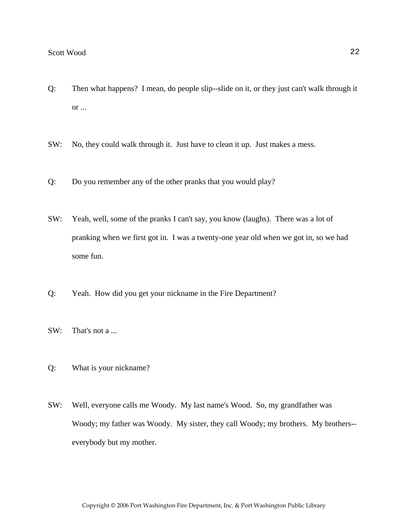- Q: Then what happens? I mean, do people slip--slide on it, or they just can't walk through it or ...
- SW: No, they could walk through it. Just have to clean it up. Just makes a mess.
- Q: Do you remember any of the other pranks that you would play?
- SW: Yeah, well, some of the pranks I can't say, you know (laughs). There was a lot of pranking when we first got in. I was a twenty-one year old when we got in, so we had some fun.
- Q: Yeah. How did you get your nickname in the Fire Department?
- SW: That's not a ...
- Q: What is your nickname?
- SW: Well, everyone calls me Woody. My last name's Wood. So, my grandfather was Woody; my father was Woody. My sister, they call Woody; my brothers. My brothers- everybody but my mother.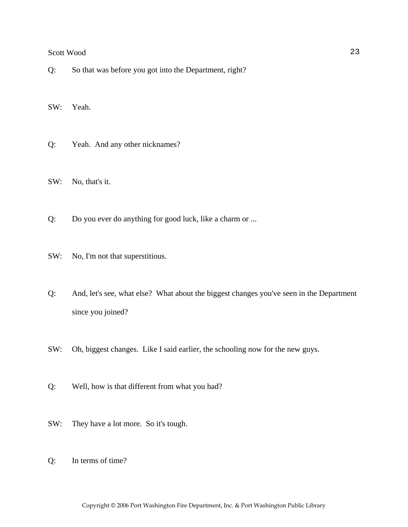Q: So that was before you got into the Department, right?

SW: Yeah.

Q: Yeah. And any other nicknames?

SW: No, that's it.

Q: Do you ever do anything for good luck, like a charm or ...

SW: No, I'm not that superstitious.

- Q: And, let's see, what else? What about the biggest changes you've seen in the Department since you joined?
- SW: Oh, biggest changes. Like I said earlier, the schooling now for the new guys.
- Q: Well, how is that different from what you had?
- SW: They have a lot more. So it's tough.
- Q: In terms of time?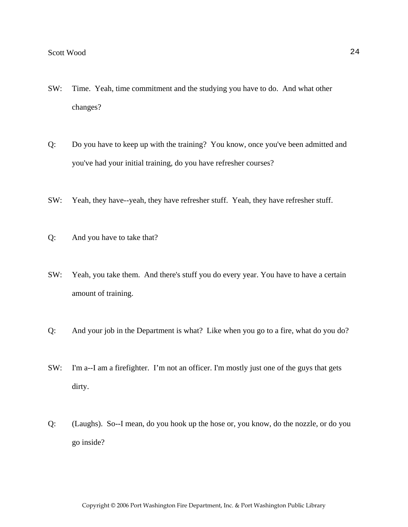- SW: Time. Yeah, time commitment and the studying you have to do. And what other changes?
- Q: Do you have to keep up with the training? You know, once you've been admitted and you've had your initial training, do you have refresher courses?
- SW: Yeah, they have--yeah, they have refresher stuff. Yeah, they have refresher stuff.
- Q: And you have to take that?
- SW: Yeah, you take them. And there's stuff you do every year. You have to have a certain amount of training.
- Q: And your job in the Department is what? Like when you go to a fire, what do you do?
- SW: I'm a--I am a firefighter. I'm not an officer. I'm mostly just one of the guys that gets dirty.
- Q: (Laughs). So--I mean, do you hook up the hose or, you know, do the nozzle, or do you go inside?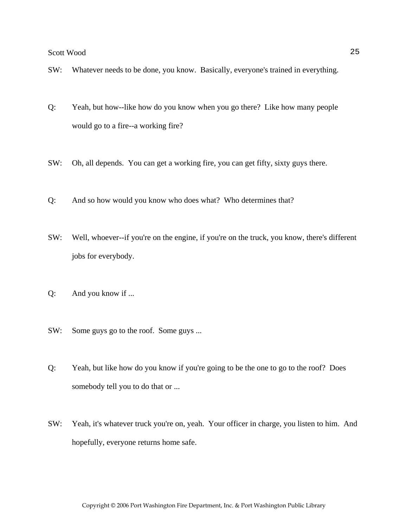- SW: Whatever needs to be done, you know. Basically, everyone's trained in everything.
- Q: Yeah, but how--like how do you know when you go there? Like how many people would go to a fire--a working fire?
- SW: Oh, all depends. You can get a working fire, you can get fifty, sixty guys there.
- Q: And so how would you know who does what? Who determines that?
- SW: Well, whoever--if you're on the engine, if you're on the truck, you know, there's different jobs for everybody.
- Q: And you know if ...
- SW: Some guys go to the roof. Some guys ...
- Q: Yeah, but like how do you know if you're going to be the one to go to the roof? Does somebody tell you to do that or ...
- SW: Yeah, it's whatever truck you're on, yeah. Your officer in charge, you listen to him. And hopefully, everyone returns home safe.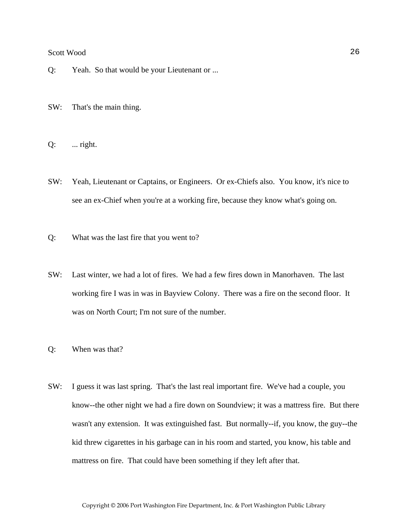- Q: Yeah. So that would be your Lieutenant or ...
- SW: That's the main thing.
- $Q:$  ... right.
- SW: Yeah, Lieutenant or Captains, or Engineers. Or ex-Chiefs also. You know, it's nice to see an ex-Chief when you're at a working fire, because they know what's going on.
- Q: What was the last fire that you went to?
- SW: Last winter, we had a lot of fires. We had a few fires down in Manorhaven. The last working fire I was in was in Bayview Colony. There was a fire on the second floor. It was on North Court; I'm not sure of the number.
- Q: When was that?
- SW: I guess it was last spring. That's the last real important fire. We've had a couple, you know--the other night we had a fire down on Soundview; it was a mattress fire. But there wasn't any extension. It was extinguished fast. But normally--if, you know, the guy--the kid threw cigarettes in his garbage can in his room and started, you know, his table and mattress on fire. That could have been something if they left after that.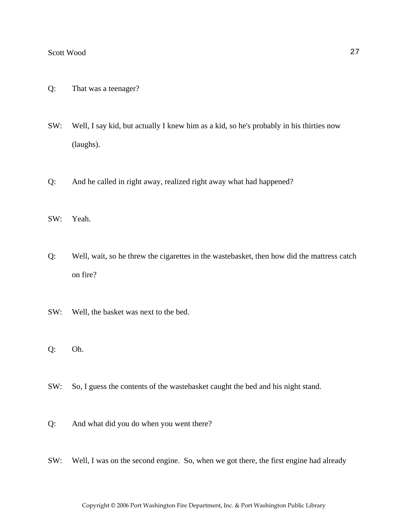- Q: That was a teenager?
- SW: Well, I say kid, but actually I knew him as a kid, so he's probably in his thirties now (laughs).
- Q: And he called in right away, realized right away what had happened?
- SW: Yeah.
- Q: Well, wait, so he threw the cigarettes in the wastebasket, then how did the mattress catch on fire?
- SW: Well, the basket was next to the bed.
- Q: Oh.
- SW: So, I guess the contents of the wastebasket caught the bed and his night stand.
- Q: And what did you do when you went there?
- SW: Well, I was on the second engine. So, when we got there, the first engine had already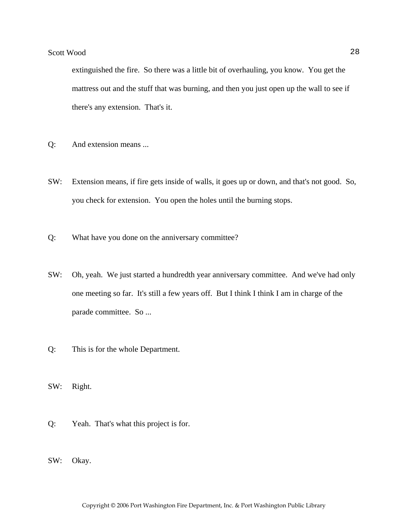extinguished the fire. So there was a little bit of overhauling, you know. You get the mattress out and the stuff that was burning, and then you just open up the wall to see if there's any extension. That's it.

- Q: And extension means ...
- SW: Extension means, if fire gets inside of walls, it goes up or down, and that's not good. So, you check for extension. You open the holes until the burning stops.
- Q: What have you done on the anniversary committee?
- SW: Oh, yeah. We just started a hundredth year anniversary committee. And we've had only one meeting so far. It's still a few years off. But I think I think I am in charge of the parade committee. So ...
- Q: This is for the whole Department.
- SW: Right.
- Q: Yeah. That's what this project is for.
- SW: Okay.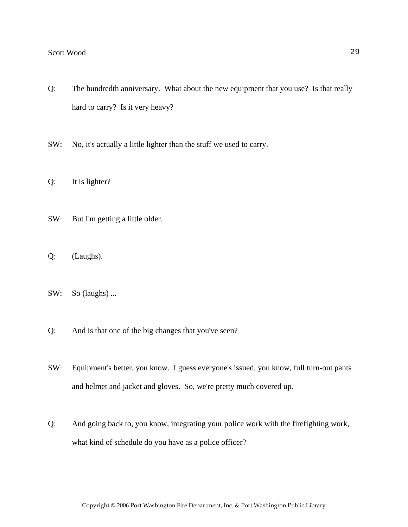- Q: The hundredth anniversary. What about the new equipment that you use? Is that really hard to carry? Is it very heavy?
- SW: No, it's actually a little lighter than the stuff we used to carry.
- Q: It is lighter?
- SW: But I'm getting a little older.
- Q: (Laughs).
- SW: So (laughs) ...
- Q: And is that one of the big changes that you've seen?
- SW: Equipment's better, you know. I guess everyone's issued, you know, full turn-out pants and helmet and jacket and gloves. So, we're pretty much covered up.
- Q: And going back to, you know, integrating your police work with the firefighting work, what kind of schedule do you have as a police officer?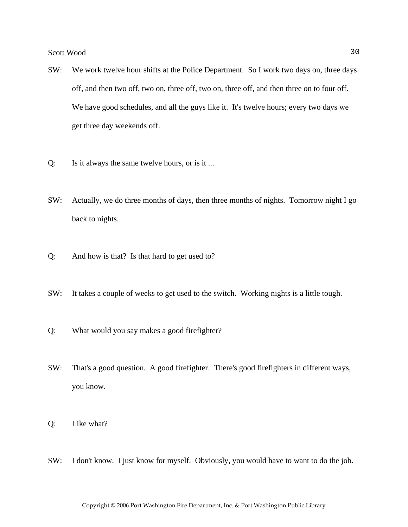- SW: We work twelve hour shifts at the Police Department. So I work two days on, three days off, and then two off, two on, three off, two on, three off, and then three on to four off. We have good schedules, and all the guys like it. It's twelve hours; every two days we get three day weekends off.
- Q: Is it always the same twelve hours, or is it ...
- SW: Actually, we do three months of days, then three months of nights. Tomorrow night I go back to nights.
- Q: And how is that? Is that hard to get used to?
- SW: It takes a couple of weeks to get used to the switch. Working nights is a little tough.
- Q: What would you say makes a good firefighter?
- SW: That's a good question. A good firefighter. There's good firefighters in different ways, you know.
- Q: Like what?
- SW: I don't know. I just know for myself. Obviously, you would have to want to do the job.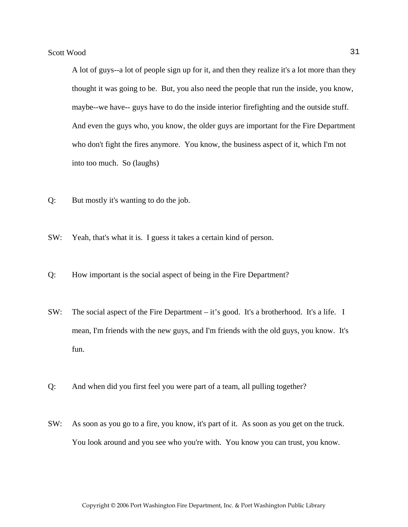A lot of guys--a lot of people sign up for it, and then they realize it's a lot more than they thought it was going to be. But, you also need the people that run the inside, you know, maybe--we have-- guys have to do the inside interior firefighting and the outside stuff. And even the guys who, you know, the older guys are important for the Fire Department who don't fight the fires anymore. You know, the business aspect of it, which I'm not into too much. So (laughs)

- Q: But mostly it's wanting to do the job.
- SW: Yeah, that's what it is. I guess it takes a certain kind of person.
- Q: How important is the social aspect of being in the Fire Department?
- SW: The social aspect of the Fire Department it's good. It's a brotherhood. It's a life. I mean, I'm friends with the new guys, and I'm friends with the old guys, you know. It's fun.
- Q: And when did you first feel you were part of a team, all pulling together?
- SW: As soon as you go to a fire, you know, it's part of it. As soon as you get on the truck. You look around and you see who you're with. You know you can trust, you know.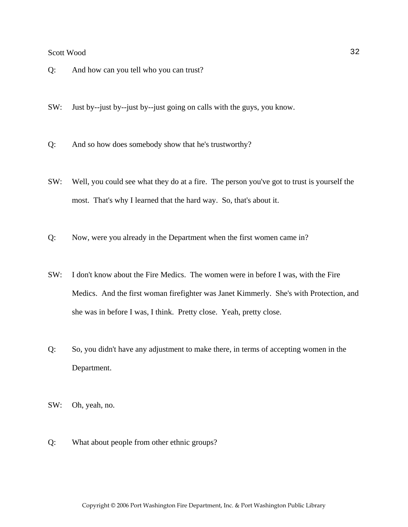- Q: And how can you tell who you can trust?
- SW: Just by--just by--just by--just going on calls with the guys, you know.
- Q: And so how does somebody show that he's trustworthy?
- SW: Well, you could see what they do at a fire. The person you've got to trust is yourself the most. That's why I learned that the hard way. So, that's about it.
- Q: Now, were you already in the Department when the first women came in?
- SW: I don't know about the Fire Medics. The women were in before I was, with the Fire Medics. And the first woman firefighter was Janet Kimmerly. She's with Protection, and she was in before I was, I think. Pretty close. Yeah, pretty close.
- Q: So, you didn't have any adjustment to make there, in terms of accepting women in the Department.
- SW: Oh, yeah, no.
- Q: What about people from other ethnic groups?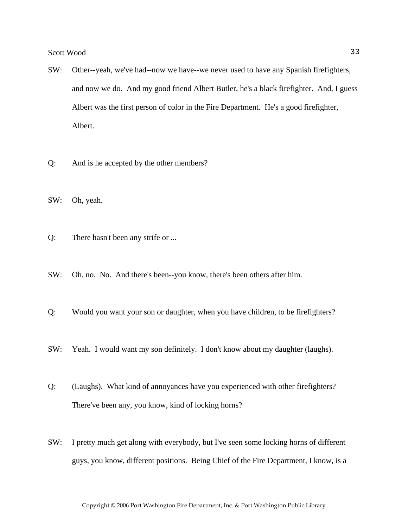- SW: Other--yeah, we've had--now we have--we never used to have any Spanish firefighters, and now we do. And my good friend Albert Butler, he's a black firefighter. And, I guess Albert was the first person of color in the Fire Department. He's a good firefighter, Albert.
- Q: And is he accepted by the other members?
- SW: Oh, yeah.
- Q: There hasn't been any strife or ...
- SW: Oh, no. No. And there's been--you know, there's been others after him.
- Q: Would you want your son or daughter, when you have children, to be firefighters?
- SW: Yeah. I would want my son definitely. I don't know about my daughter (laughs).
- Q: (Laughs). What kind of annoyances have you experienced with other firefighters? There've been any, you know, kind of locking horns?
- SW: I pretty much get along with everybody, but I've seen some locking horns of different guys, you know, different positions. Being Chief of the Fire Department, I know, is a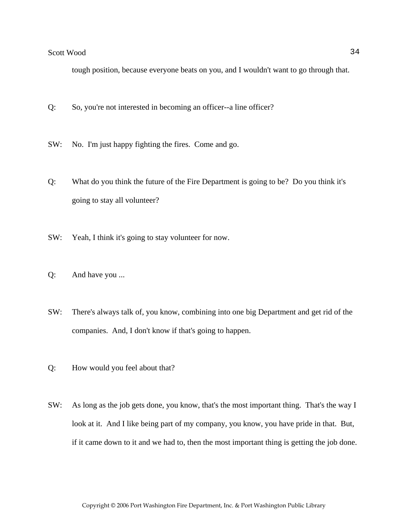tough position, because everyone beats on you, and I wouldn't want to go through that.

- Q: So, you're not interested in becoming an officer--a line officer?
- SW: No. I'm just happy fighting the fires. Come and go.
- Q: What do you think the future of the Fire Department is going to be? Do you think it's going to stay all volunteer?
- SW: Yeah, I think it's going to stay volunteer for now.
- Q: And have you ...
- SW: There's always talk of, you know, combining into one big Department and get rid of the companies. And, I don't know if that's going to happen.
- Q: How would you feel about that?
- SW: As long as the job gets done, you know, that's the most important thing. That's the way I look at it. And I like being part of my company, you know, you have pride in that. But, if it came down to it and we had to, then the most important thing is getting the job done.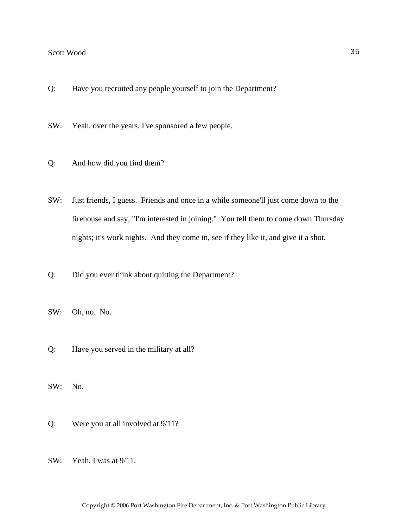- Q: Have you recruited any people yourself to join the Department?
- SW: Yeah, over the years, I've sponsored a few people.
- Q: And how did you find them?
- SW: Just friends, I guess. Friends and once in a while someone'll just come down to the firehouse and say, "I'm interested in joining." You tell them to come down Thursday nights; it's work nights. And they come in, see if they like it, and give it a shot.
- Q: Did you ever think about quitting the Department?
- SW: Oh, no. No.
- Q: Have you served in the military at all?
- SW: No.
- Q: Were you at all involved at 9/11?
- SW: Yeah, I was at 9/11.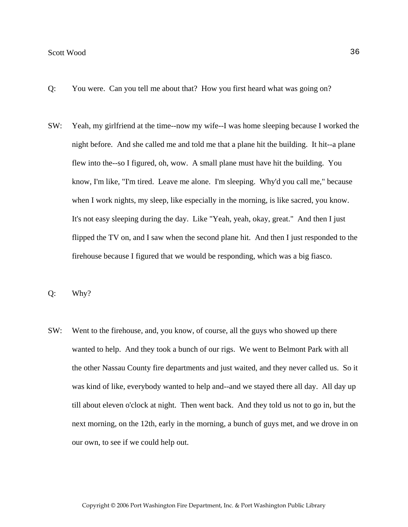- Q: You were. Can you tell me about that? How you first heard what was going on?
- SW: Yeah, my girlfriend at the time--now my wife--I was home sleeping because I worked the night before. And she called me and told me that a plane hit the building. It hit--a plane flew into the--so I figured, oh, wow. A small plane must have hit the building. You know, I'm like, "I'm tired. Leave me alone. I'm sleeping. Why'd you call me," because when I work nights, my sleep, like especially in the morning, is like sacred, you know. It's not easy sleeping during the day. Like "Yeah, yeah, okay, great." And then I just flipped the TV on, and I saw when the second plane hit. And then I just responded to the firehouse because I figured that we would be responding, which was a big fiasco.
- Q: Why?
- SW: Went to the firehouse, and, you know, of course, all the guys who showed up there wanted to help. And they took a bunch of our rigs. We went to Belmont Park with all the other Nassau County fire departments and just waited, and they never called us. So it was kind of like, everybody wanted to help and--and we stayed there all day. All day up till about eleven o'clock at night. Then went back. And they told us not to go in, but the next morning, on the 12th, early in the morning, a bunch of guys met, and we drove in on our own, to see if we could help out.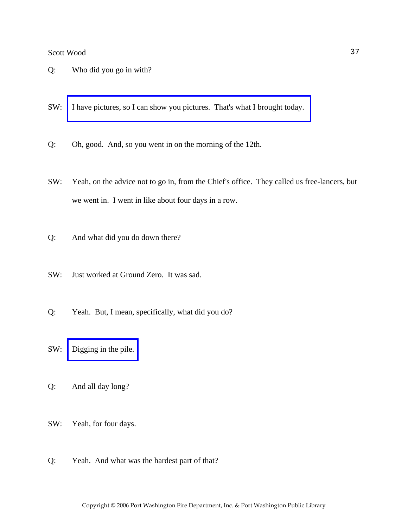- Q: Who did you go in with?
- SW: [I have pictures, so I can show you pictures. That's what I brought today.](http://www.pwfdhistory.com/trans/woods_trans/pwfd_911007_web.jpg)
- Q: Oh, good. And, so you went in on the morning of the 12th.
- SW: Yeah, on the advice not to go in, from the Chief's office. They called us free-lancers, but we went in. I went in like about four days in a row.
- Q: And what did you do down there?
- SW: Just worked at Ground Zero. It was sad.
- Q: Yeah. But, I mean, specifically, what did you do?
- SW: [Digging in the pile.](http://www.pwfdhistory.com/trans/woods_trans/pwfd_911002_web.jpg)
- Q: And all day long?
- SW: Yeah, for four days.
- Q: Yeah. And what was the hardest part of that?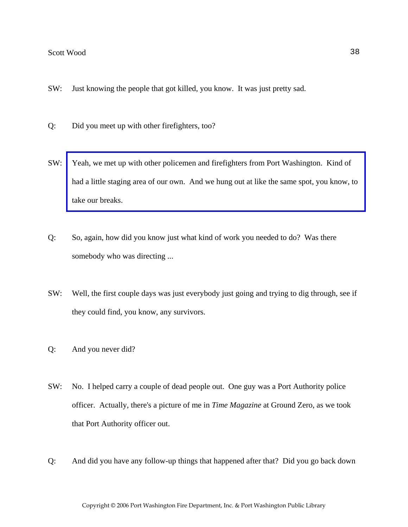- SW: Just knowing the people that got killed, you know. It was just pretty sad.
- Q: Did you meet up with other firefighters, too?
- SW: Yeah, we met up with other policemen and firefighters from Port Washington. Kind of [had a little staging area of our own. And we hung out at like the same spot, you know, to](http://www.pwfdhistory.com/trans/woods_trans/pwfd_911006_web.jpg)  take our breaks.
- Q: So, again, how did you know just what kind of work you needed to do? Was there somebody who was directing ...
- SW: Well, the first couple days was just everybody just going and trying to dig through, see if they could find, you know, any survivors.
- Q: And you never did?
- SW: No. I helped carry a couple of dead people out. One guy was a Port Authority police officer. Actually, there's a picture of me in *Time Magazine* at Ground Zero, as we took that Port Authority officer out.
- Q: And did you have any follow-up things that happened after that? Did you go back down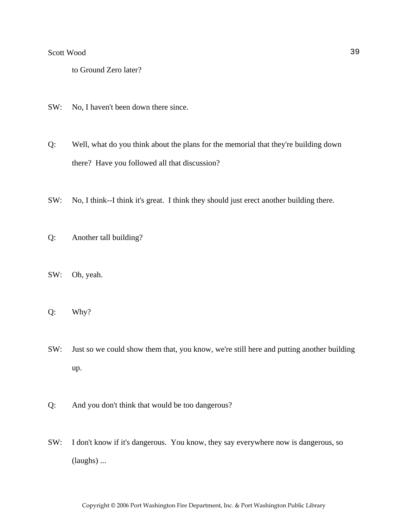to Ground Zero later?

SW: No, I haven't been down there since.

Q: Well, what do you think about the plans for the memorial that they're building down there? Have you followed all that discussion?

- SW: No, I think--I think it's great. I think they should just erect another building there.
- Q: Another tall building?
- SW: Oh, yeah.
- Q: Why?
- SW: Just so we could show them that, you know, we're still here and putting another building up.
- Q: And you don't think that would be too dangerous?
- SW: I don't know if it's dangerous. You know, they say everywhere now is dangerous, so (laughs) ...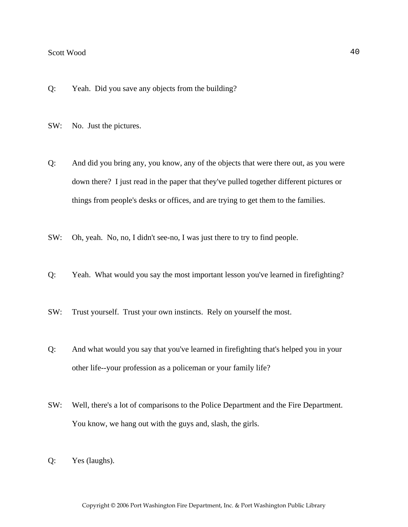- Q: Yeah. Did you save any objects from the building?
- SW: No. Just the pictures.
- Q: And did you bring any, you know, any of the objects that were there out, as you were down there? I just read in the paper that they've pulled together different pictures or things from people's desks or offices, and are trying to get them to the families.
- SW: Oh, yeah. No, no, I didn't see-no, I was just there to try to find people.
- Q: Yeah. What would you say the most important lesson you've learned in firefighting?
- SW: Trust yourself. Trust your own instincts. Rely on yourself the most.
- Q: And what would you say that you've learned in firefighting that's helped you in your other life--your profession as a policeman or your family life?
- SW: Well, there's a lot of comparisons to the Police Department and the Fire Department. You know, we hang out with the guys and, slash, the girls.
- Q: Yes (laughs).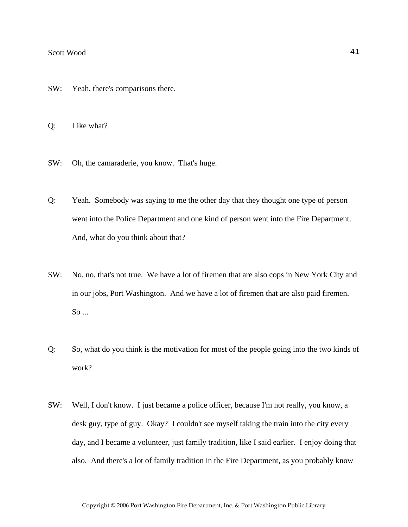- SW: Yeah, there's comparisons there.
- Q: Like what?
- SW: Oh, the camaraderie, you know. That's huge.
- Q: Yeah. Somebody was saying to me the other day that they thought one type of person went into the Police Department and one kind of person went into the Fire Department. And, what do you think about that?
- SW: No, no, that's not true. We have a lot of firemen that are also cops in New York City and in our jobs, Port Washington. And we have a lot of firemen that are also paid firemen. So ...
- Q: So, what do you think is the motivation for most of the people going into the two kinds of work?
- SW: Well, I don't know. I just became a police officer, because I'm not really, you know, a desk guy, type of guy. Okay? I couldn't see myself taking the train into the city every day, and I became a volunteer, just family tradition, like I said earlier. I enjoy doing that also. And there's a lot of family tradition in the Fire Department, as you probably know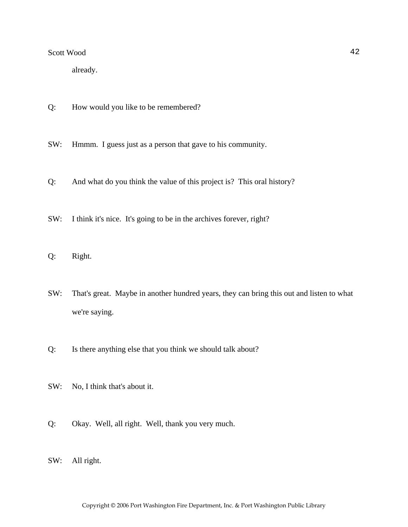already.

Q: How would you like to be remembered?

SW: Hmmm. I guess just as a person that gave to his community.

- Q: And what do you think the value of this project is? This oral history?
- SW: I think it's nice. It's going to be in the archives forever, right?
- Q: Right.
- SW: That's great. Maybe in another hundred years, they can bring this out and listen to what we're saying.
- Q: Is there anything else that you think we should talk about?
- SW: No, I think that's about it.
- Q: Okay. Well, all right. Well, thank you very much.
- SW: All right.